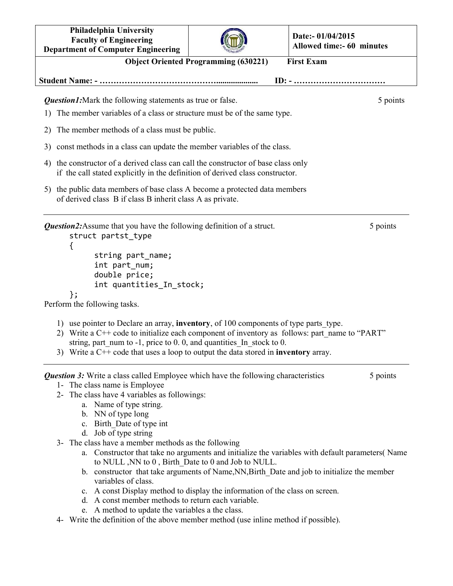| Philadelphia University<br><b>Faculty of Engineering</b><br><b>Department of Computer Engineering</b>                                                                                                                                                                                                                                                                                                                                                                                                                                                                                                                                                                                                                                                                                                 |                                             | Date:- 01/04/2015<br><b>Allowed time:- 60 minutes</b>                                                       |
|-------------------------------------------------------------------------------------------------------------------------------------------------------------------------------------------------------------------------------------------------------------------------------------------------------------------------------------------------------------------------------------------------------------------------------------------------------------------------------------------------------------------------------------------------------------------------------------------------------------------------------------------------------------------------------------------------------------------------------------------------------------------------------------------------------|---------------------------------------------|-------------------------------------------------------------------------------------------------------------|
|                                                                                                                                                                                                                                                                                                                                                                                                                                                                                                                                                                                                                                                                                                                                                                                                       | <b>Object Oriented Programming (630221)</b> | <b>First Exam</b>                                                                                           |
|                                                                                                                                                                                                                                                                                                                                                                                                                                                                                                                                                                                                                                                                                                                                                                                                       |                                             | $ID: - \dots \dots \dots \dots \dots \dots \dots \dots \dots \dots$                                         |
| <b>Question1:</b> Mark the following statements as true or false.                                                                                                                                                                                                                                                                                                                                                                                                                                                                                                                                                                                                                                                                                                                                     |                                             | 5 points                                                                                                    |
| The member variables of a class or structure must be of the same type.<br>1)                                                                                                                                                                                                                                                                                                                                                                                                                                                                                                                                                                                                                                                                                                                          |                                             |                                                                                                             |
| The member methods of a class must be public.<br>2)                                                                                                                                                                                                                                                                                                                                                                                                                                                                                                                                                                                                                                                                                                                                                   |                                             |                                                                                                             |
| const methods in a class can update the member variables of the class.<br>3)                                                                                                                                                                                                                                                                                                                                                                                                                                                                                                                                                                                                                                                                                                                          |                                             |                                                                                                             |
| 4) the constructor of a derived class can call the constructor of base class only<br>if the call stated explicitly in the definition of derived class constructor.                                                                                                                                                                                                                                                                                                                                                                                                                                                                                                                                                                                                                                    |                                             |                                                                                                             |
| 5) the public data members of base class A become a protected data members<br>of derived class B if class B inherit class A as private.                                                                                                                                                                                                                                                                                                                                                                                                                                                                                                                                                                                                                                                               |                                             |                                                                                                             |
| <b>Question2:</b> Assume that you have the following definition of a struct.<br>struct partst type<br>₹<br>string part_name;<br>int part_num;<br>double price;<br>int quantities_In_stock;<br>};<br>Perform the following tasks.                                                                                                                                                                                                                                                                                                                                                                                                                                                                                                                                                                      |                                             | 5 points                                                                                                    |
| 1) use pointer to Declare an array, <b>inventory</b> , of 100 components of type parts type.<br>2) Write a C++ code to initialize each component of inventory as follows: part name to "PART"<br>string, part num to $-1$ , price to 0.0, and quantities In stock to 0.<br>3) Write a $C++$ code that uses a loop to output the data stored in <b>inventory</b> array.                                                                                                                                                                                                                                                                                                                                                                                                                                |                                             |                                                                                                             |
| <b>Question 3:</b> Write a class called Employee which have the following characteristics<br>1- The class name is Employee<br>2- The class have 4 variables as followings:<br>a. Name of type string.<br>b. NN of type long<br>c. Birth Date of type int<br>d. Job of type string<br>3- The class have a member methods as the following<br>to NULL, NN to 0, Birth Date to 0 and Job to NULL.<br>b. constructor that take arguments of Name, NN, Birth Date and job to initialize the member<br>variables of class.<br>c. A const Display method to display the information of the class on screen.<br>d. A const member methods to return each variable.<br>e. A method to update the variables a the class.<br>4- Write the definition of the above member method (use inline method if possible). |                                             | 5 points<br>a. Constructor that take no arguments and initialize the variables with default parameters(Name |